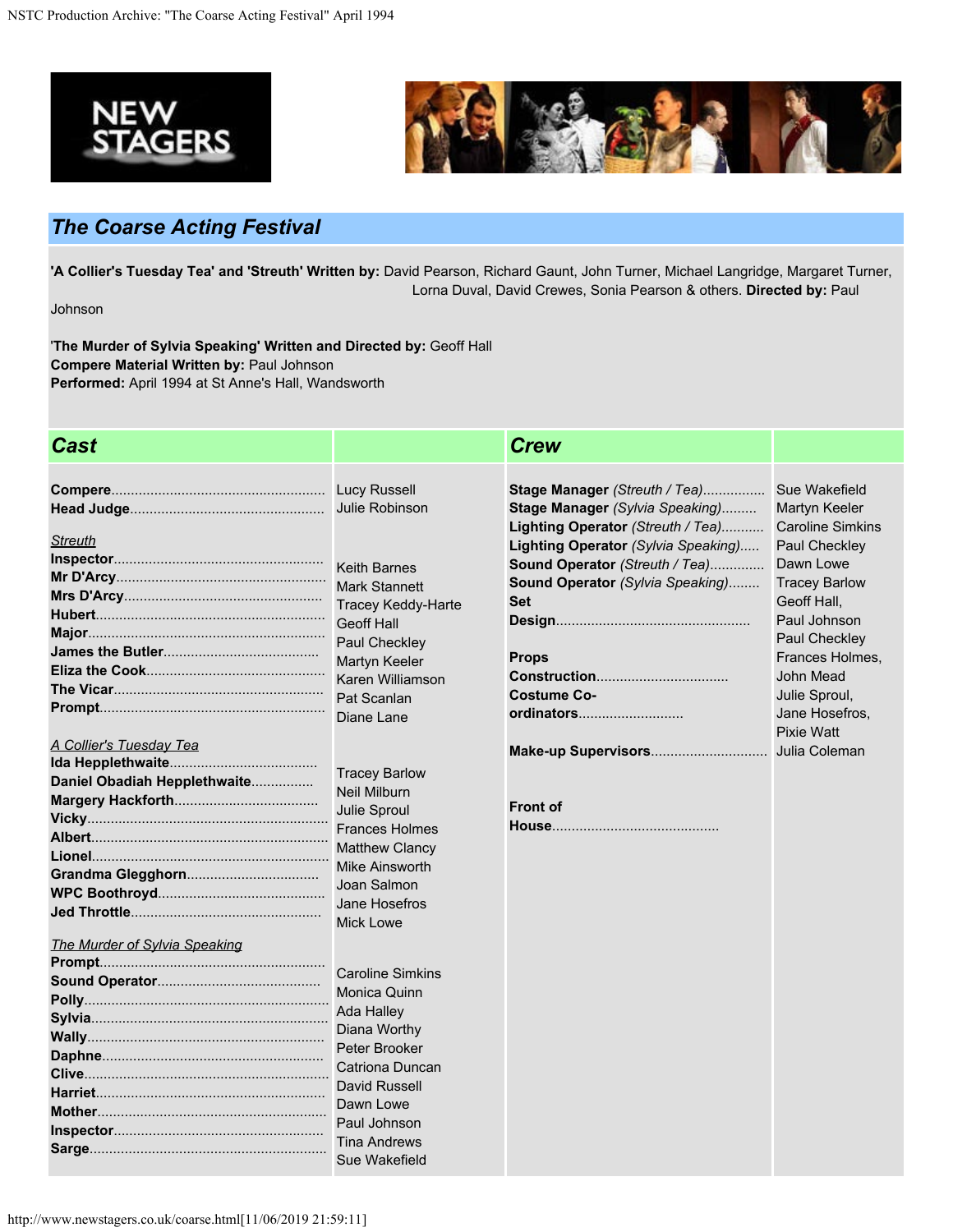



## *The Coarse Acting Festival*

**'A Collier's Tuesday Tea' and 'Streuth' Written by:** David Pearson, Richard Gaunt, John Turner, Michael Langridge, Margaret Turner, Lorna Duval, David Crewes, Sonia Pearson & others. Directed by: Paul

Johnson

'**The Murder of Sylvia Speaking' Written and Directed by:** Geoff Hall **Compere Material Written by:** Paul Johnson **Performed:** April 1994 at St Anne's Hall, Wandsworth

| <b>Cast</b>                    |                                                | <b>Crew</b>                                                      |                                |
|--------------------------------|------------------------------------------------|------------------------------------------------------------------|--------------------------------|
|                                |                                                |                                                                  |                                |
|                                | Julie Robinson                                 | Stage Manager (Streuth / Tea)<br>Stage Manager (Sylvia Speaking) | Sue Wakefield<br>Martyn Keeler |
|                                |                                                | Lighting Operator (Streuth / Tea)                                | <b>Caroline Simkins</b>        |
| <b>Streuth</b>                 |                                                | Lighting Operator (Sylvia Speaking)                              | Paul Checkley                  |
|                                |                                                | Sound Operator (Streuth / Tea)                                   | Dawn Lowe                      |
|                                | <b>Keith Barnes</b>                            | Sound Operator (Sylvia Speaking)                                 | <b>Tracey Barlow</b>           |
|                                | <b>Mark Stannett</b>                           | <b>Set</b>                                                       | Geoff Hall.                    |
|                                | <b>Tracey Keddy-Harte</b><br><b>Geoff Hall</b> |                                                                  | Paul Johnson                   |
|                                |                                                |                                                                  | Paul Checkley                  |
|                                | Paul Checkley                                  | <b>Props</b>                                                     | Frances Holmes,                |
|                                | Martyn Keeler<br>Karen Williamson              |                                                                  | John Mead                      |
|                                | Pat Scanlan                                    | <b>Costume Co-</b>                                               | Julie Sproul,                  |
|                                | Diane Lane                                     | ordinators                                                       | Jane Hosefros,                 |
|                                |                                                |                                                                  | <b>Pixie Watt</b>              |
| <b>A Collier's Tuesday Tea</b> |                                                |                                                                  |                                |
|                                | <b>Tracey Barlow</b>                           |                                                                  |                                |
| Daniel Obadiah Hepplethwaite   | <b>Neil Milburn</b>                            |                                                                  |                                |
|                                | Julie Sproul                                   | <b>Front of</b>                                                  |                                |
|                                | <b>Frances Holmes</b>                          |                                                                  |                                |
|                                | <b>Matthew Clancy</b>                          |                                                                  |                                |
|                                | <b>Mike Ainsworth</b>                          |                                                                  |                                |
|                                | Joan Salmon                                    |                                                                  |                                |
|                                | Jane Hosefros                                  |                                                                  |                                |
|                                | <b>Mick Lowe</b>                               |                                                                  |                                |
| The Murder of Sylvia Speaking  |                                                |                                                                  |                                |
|                                |                                                |                                                                  |                                |
|                                | <b>Caroline Simkins</b>                        |                                                                  |                                |
|                                | Monica Quinn                                   |                                                                  |                                |
|                                | <b>Ada Halley</b>                              |                                                                  |                                |
|                                | Diana Worthy                                   |                                                                  |                                |
|                                | Peter Brooker                                  |                                                                  |                                |
|                                | Catriona Duncan                                |                                                                  |                                |
|                                | <b>David Russell</b>                           |                                                                  |                                |
|                                | Dawn Lowe                                      |                                                                  |                                |
|                                | Paul Johnson                                   |                                                                  |                                |
|                                | <b>Tina Andrews</b>                            |                                                                  |                                |
|                                | Sue Wakefield                                  |                                                                  |                                |